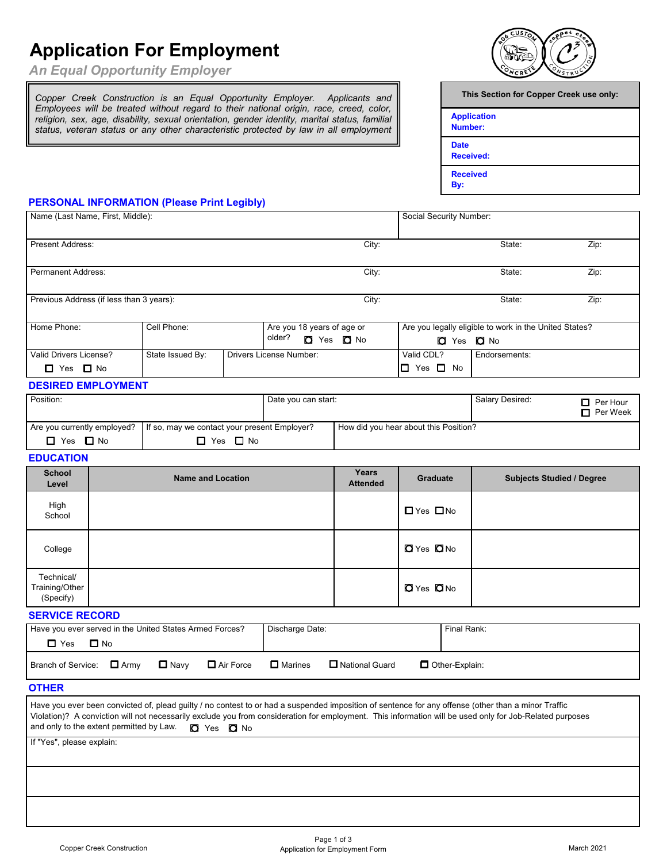# **Application For Employment**

*An Equal Opportunity Employer*

*Copper Creek Construction is an Equal Opportunity Employer. Applicants and Employees will be treated without regard to their national origin, race, creed, color, religion, sex, age, disability, sexual orientation, gender identity, marital status, familial status, veteran status or any other characteristic protected by law in all employment*



| This Section for Copper Creek use only: |
|-----------------------------------------|
| <b>Application</b><br>Number:           |
| <b>Date</b><br><b>Received:</b>         |
| <b>Received</b><br>By:                  |
|                                         |

## **PERSONAL INFORMATION (Please Print Legibly)**

| Name (Last Name, First, Middle):                    | Social Security Number:                            |                      |                                                        |                     |                                                                                    |                                       |                 |                                 |
|-----------------------------------------------------|----------------------------------------------------|----------------------|--------------------------------------------------------|---------------------|------------------------------------------------------------------------------------|---------------------------------------|-----------------|---------------------------------|
| <b>Present Address:</b>                             | City:                                              |                      |                                                        | State:<br>Zip:      |                                                                                    |                                       |                 |                                 |
| <b>Permanent Address:</b>                           | City:                                              |                      |                                                        |                     | State:                                                                             | Zip:                                  |                 |                                 |
| Previous Address (if less than 3 years):            | City:                                              |                      |                                                        | State:              | Zip:                                                                               |                                       |                 |                                 |
| Home Phone:                                         | Cell Phone:                                        | older?               | Are you 18 years of age or<br><b>O</b> Yes <b>O</b> No |                     | Are you legally eligible to work in the United States?<br><b>O</b> Yes <b>O</b> No |                                       |                 |                                 |
| Valid Drivers License?<br>$\Box$ Yes $\Box$ No      | State Issued By:<br><b>Drivers License Number:</b> |                      |                                                        |                     |                                                                                    | Valid CDL?<br>$\Box$ Yes $\Box$ No    | Endorsements:   |                                 |
| <b>DESIRED EMPLOYMENT</b>                           |                                                    |                      |                                                        |                     |                                                                                    |                                       |                 |                                 |
| Position:                                           |                                                    |                      |                                                        | Date you can start: |                                                                                    |                                       | Salary Desired: | Per Hour<br>п<br>Per Week<br>п. |
| Are you currently employed?<br>$\Box$ Yes $\Box$ No | If so, may we contact your present Employer?       | $\Box$ Yes $\Box$ No |                                                        |                     |                                                                                    | How did you hear about this Position? |                 |                                 |

### **EDUCATION**

| <b>School</b><br>Level                    | <b>Name and Location</b>                                                          | Years<br><b>Attended</b> | Graduate                 | <b>Subjects Studied / Degree</b> |  |
|-------------------------------------------|-----------------------------------------------------------------------------------|--------------------------|--------------------------|----------------------------------|--|
| High<br>School                            |                                                                                   |                          | $\Box$ Yes $\Box$ No     |                                  |  |
| College                                   |                                                                                   |                          | <b>O</b> Yes <b>O</b> No |                                  |  |
| Technical/<br>Training/Other<br>(Specify) |                                                                                   |                          | <b>O</b> Yes ONo         |                                  |  |
| <b>SERVICE RECORD</b>                     |                                                                                   |                          |                          |                                  |  |
|                                           | Disabasea Data:<br>Lloughton attenuational in the United Otates, Assembly Concert |                          | Final Davis              |                                  |  |

| Have you ever served in the United States Armed Forces? |             |                  | Discharge Date: |                         | Final Rank:      |
|---------------------------------------------------------|-------------|------------------|-----------------|-------------------------|------------------|
| $\Box$ No<br>$\Box$ Yes                                 |             |                  |                 |                         |                  |
| Branch of Service: $\Box$ Army                          | $\Box$ Navv | $\Box$ Air Force | $\Box$ Marines  | <b>□</b> National Guard | □ Other-Explain: |

### **OTHER**

 Have you ever been convicted of, plead guilty / no contest to or had a suspended imposition of sentence for any offense (other than a minor Traffic Violation)? A conviction will not necessarily exclude you from consideration for employment. This information will be used only for Job-Related purposes and only to the extent permitted by Law.  $\Box$  Yes  $\Box$  No

If "Yes", please explain: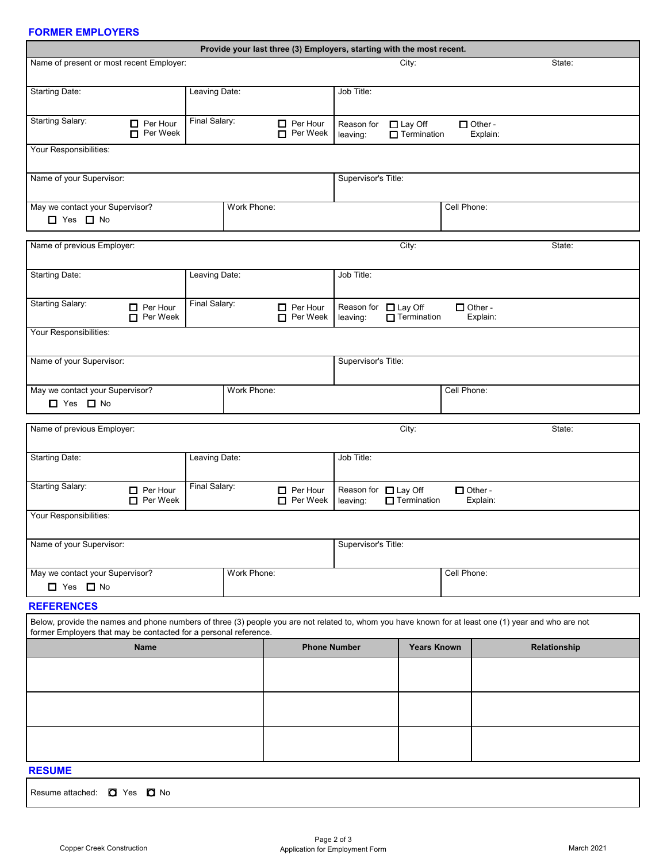## **FORMER EMPLOYERS**

| Provide your last three (3) Employers, starting with the most recent.                             |                                        |               |  |                                    |                                                                                              |  |  |                                                                                                                                                      |  |
|---------------------------------------------------------------------------------------------------|----------------------------------------|---------------|--|------------------------------------|----------------------------------------------------------------------------------------------|--|--|------------------------------------------------------------------------------------------------------------------------------------------------------|--|
| Name of present or most recent Employer:                                                          |                                        |               |  |                                    | City:<br>State:                                                                              |  |  |                                                                                                                                                      |  |
| <b>Starting Date:</b><br>Leaving Date:                                                            |                                        |               |  |                                    | Job Title:                                                                                   |  |  |                                                                                                                                                      |  |
| <b>Starting Salary:</b><br>Final Salary:<br>$\Box$ Per Hour<br>Per Week                           |                                        |               |  | $\Box$ Per Hour<br>Per Week        | Reason for<br>$\Box$ Other -<br>$\Box$ Lay Off<br>$\Box$ Termination<br>Explain:<br>leaving: |  |  |                                                                                                                                                      |  |
| Your Responsibilities:                                                                            |                                        |               |  |                                    |                                                                                              |  |  |                                                                                                                                                      |  |
| Name of your Supervisor:                                                                          |                                        |               |  | Supervisor's Title:                |                                                                                              |  |  |                                                                                                                                                      |  |
| May we contact your Supervisor?<br>Work Phone:<br>$\Box$ Yes $\Box$ No                            |                                        |               |  |                                    | Cell Phone:                                                                                  |  |  |                                                                                                                                                      |  |
| Name of previous Employer:<br>City:<br>State:                                                     |                                        |               |  |                                    |                                                                                              |  |  |                                                                                                                                                      |  |
| <b>Starting Date:</b><br>Leaving Date:                                                            |                                        |               |  |                                    | Job Title:                                                                                   |  |  |                                                                                                                                                      |  |
| <b>Starting Salary:</b>                                                                           | $\Box$ Per Hour<br>$\Box$ Per Week     | Final Salary: |  | $\Box$ Per Hour<br>$\Box$ Per Week | Reason for □ Lay Off<br>$\Box$ Other -<br>$\blacksquare$ Termination<br>leaving:<br>Explain: |  |  |                                                                                                                                                      |  |
| Your Responsibilities:                                                                            |                                        |               |  |                                    |                                                                                              |  |  |                                                                                                                                                      |  |
| Name of your Supervisor:                                                                          |                                        |               |  |                                    | Supervisor's Title:                                                                          |  |  |                                                                                                                                                      |  |
| May we contact your Supervisor?<br>Work Phone:<br>□ Yes □ No                                      |                                        |               |  |                                    | Cell Phone:                                                                                  |  |  |                                                                                                                                                      |  |
|                                                                                                   |                                        |               |  |                                    |                                                                                              |  |  | State:                                                                                                                                               |  |
| Name of previous Employer:<br>City:                                                               |                                        |               |  |                                    |                                                                                              |  |  |                                                                                                                                                      |  |
|                                                                                                   | <b>Starting Date:</b><br>Leaving Date: |               |  |                                    | Job Title:                                                                                   |  |  |                                                                                                                                                      |  |
| <b>Starting Salary:</b><br>Final Salary:<br>$\Box$ Per Hour<br>$\Box$ Per Hour<br>$\Box$ Per Week |                                        |               |  | Per Week                           | Reason for □ Lay Off<br>$\Box$ Other -<br>$\Box$ Termination<br>Explain:<br>leaving:         |  |  |                                                                                                                                                      |  |
| Your Responsibilities:                                                                            |                                        |               |  |                                    |                                                                                              |  |  |                                                                                                                                                      |  |
| Name of your Supervisor:                                                                          |                                        |               |  |                                    | Supervisor's Title:                                                                          |  |  |                                                                                                                                                      |  |
| May we contact your Supervisor?<br>Work Phone:<br>$\Box$ Yes $\Box$ No                            |                                        |               |  |                                    | Cell Phone:                                                                                  |  |  |                                                                                                                                                      |  |
| <b>REFERENCES</b>                                                                                 |                                        |               |  |                                    |                                                                                              |  |  |                                                                                                                                                      |  |
| former Employers that may be contacted for a personal reference.                                  |                                        |               |  |                                    |                                                                                              |  |  | Below, provide the names and phone numbers of three (3) people you are not related to, whom you have known for at least one (1) year and who are not |  |
| <b>Name</b>                                                                                       |                                        |               |  |                                    | <b>Years Known</b><br><b>Phone Number</b>                                                    |  |  | Relationship                                                                                                                                         |  |
|                                                                                                   |                                        |               |  |                                    |                                                                                              |  |  |                                                                                                                                                      |  |
|                                                                                                   |                                        |               |  |                                    |                                                                                              |  |  |                                                                                                                                                      |  |
|                                                                                                   |                                        |               |  |                                    |                                                                                              |  |  |                                                                                                                                                      |  |
| <b>RESUME</b>                                                                                     |                                        |               |  |                                    |                                                                                              |  |  |                                                                                                                                                      |  |
| Resume attached: C Yes C No                                                                       |                                        |               |  |                                    |                                                                                              |  |  |                                                                                                                                                      |  |